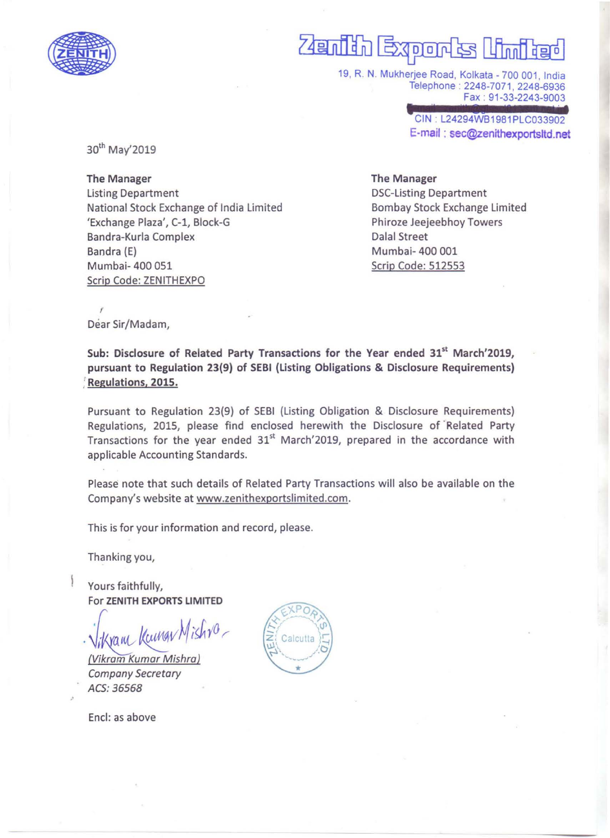

# Expor ∏ដកា

19, R. N. Mukherjee Road, Kolkata - 700 001, India Telephone : 2248-7071 . 2248-6936 Fax : 91-33-2243-9003

> CIN : L24294WB1981PLC033902 f;:-mail : sec@Zenithexportsltd.net

30th May'2019

The Manager Listing Department National Stock Exchange of India Limited 'Exchange Plaza', C-1, Block-G Bandra-Kurla Complex Bandra (E) Mumbai- 400 051 Scrip Code: ZENITHEXPO

# The Manager

DSC-Listing Department Bombay Stock Exchange Limited Phiroze Jeejeebhoy Towers Dalal Street Mumbai- 400 001 Scrip Code: 512553

Dear Sir/Madam,

,

Sub: Disclosure of Related Party Transactions for the Year ended 31<sup>st</sup> March'2019, pursuant to Regulation 23(9) of SEBI (Listing Obligations & Disclosure Requirements) : Regulations. 2015.

Pursuant to Regulation 23(9) of SEBI (Listing Obligation & Disclosure Requirements) Regulations, 2015, please find enclosed herewith the Disclosure of' Related Party Transactions for the year ended  $31<sup>st</sup>$  March'2019, prepared in the accordance with applicable Accounting Standards.

Please note that such details of Related Party Transactions will also be available on the Company's website at www.zenithexportslimited.com.

This is for your information and record, please.

Thanking you,

Yours faithfully, For ZENITH EXPORTS LIMITED

(ram Kumgy M

(Vikram Kumar Mishral Company Secretary ACS: 36S68

Encl: as above